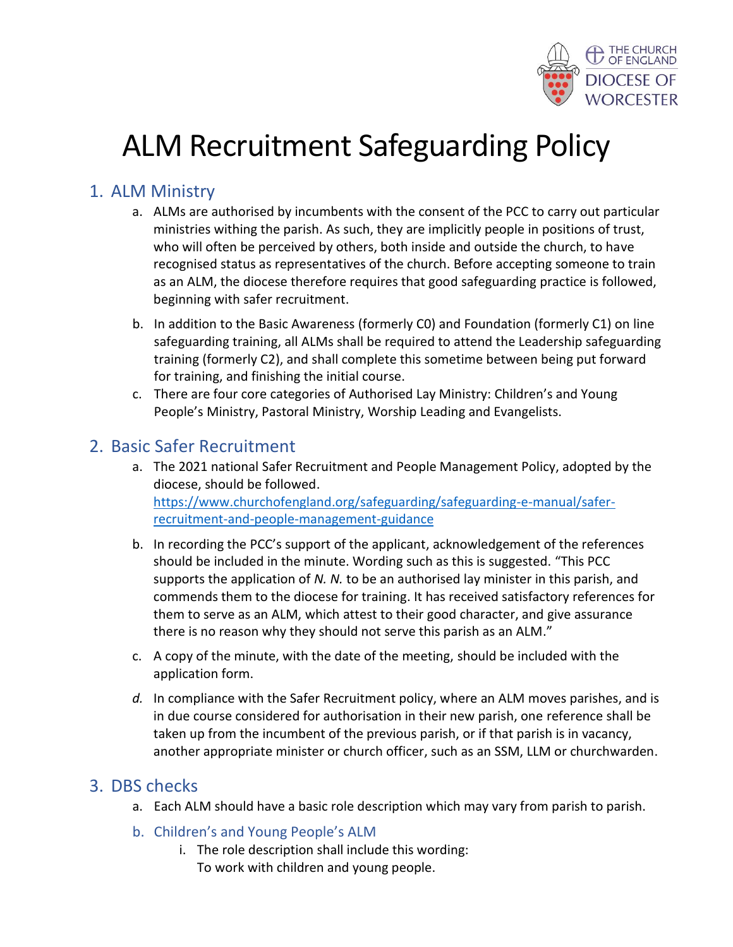

# ALM Recruitment Safeguarding Policy

## 1. ALM Ministry

- a. ALMs are authorised by incumbents with the consent of the PCC to carry out particular ministries withing the parish. As such, they are implicitly people in positions of trust, who will often be perceived by others, both inside and outside the church, to have recognised status as representatives of the church. Before accepting someone to train as an ALM, the diocese therefore requires that good safeguarding practice is followed, beginning with safer recruitment.
- b. In addition to the Basic Awareness (formerly C0) and Foundation (formerly C1) on line safeguarding training, all ALMs shall be required to attend the Leadership safeguarding training (formerly C2), and shall complete this sometime between being put forward for training, and finishing the initial course.
- c. There are four core categories of Authorised Lay Ministry: Children's and Young People's Ministry, Pastoral Ministry, Worship Leading and Evangelists.

## 2. Basic Safer Recruitment

- a. The 2021 national Safer Recruitment and People Management Policy, adopted by the diocese, should be followed. [https://www.churchofengland.org/safeguarding/safeguarding-e-manual/safer](https://www.churchofengland.org/safeguarding/safeguarding-e-manual/safer-recruitment-and-people-management-guidance)[recruitment-and-people-management-guidance](https://www.churchofengland.org/safeguarding/safeguarding-e-manual/safer-recruitment-and-people-management-guidance)
- b. In recording the PCC's support of the applicant, acknowledgement of the references should be included in the minute. Wording such as this is suggested. "This PCC supports the application of *N. N.* to be an authorised lay minister in this parish, and commends them to the diocese for training. It has received satisfactory references for them to serve as an ALM, which attest to their good character, and give assurance there is no reason why they should not serve this parish as an ALM."
- c. A copy of the minute, with the date of the meeting, should be included with the application form.
- *d.* In compliance with the Safer Recruitment policy, where an ALM moves parishes, and is in due course considered for authorisation in their new parish, one reference shall be taken up from the incumbent of the previous parish, or if that parish is in vacancy, another appropriate minister or church officer, such as an SSM, LLM or churchwarden.

## 3. DBS checks

- a. Each ALM should have a basic role description which may vary from parish to parish.
- b. Children's and Young People's ALM
	- i. The role description shall include this wording: To work with children and young people.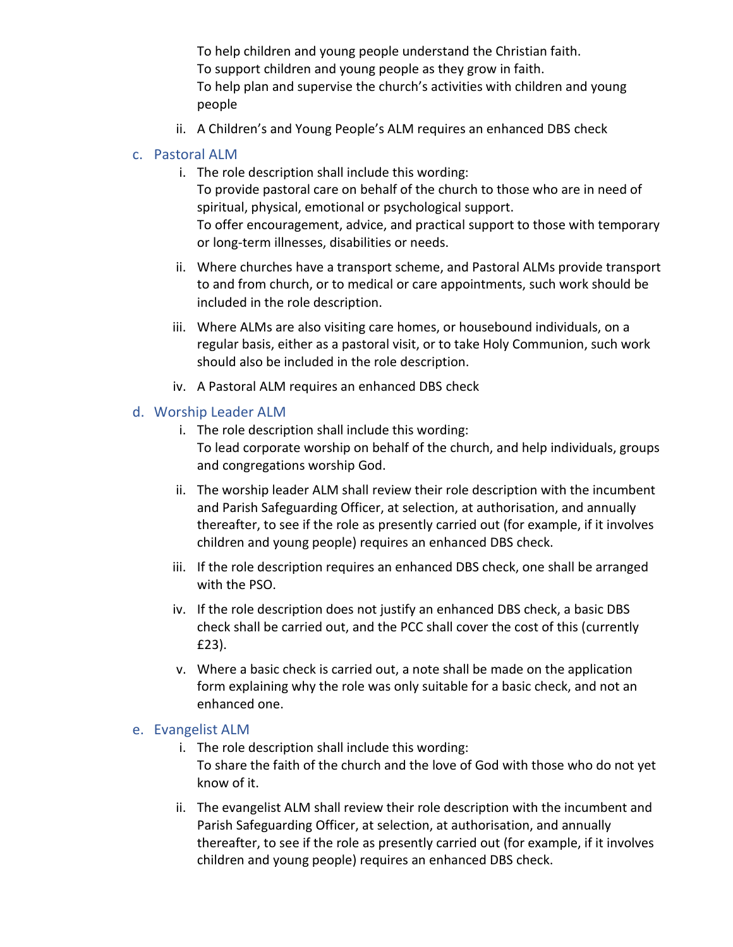To help children and young people understand the Christian faith. To support children and young people as they grow in faith. To help plan and supervise the church's activities with children and young people

ii. A Children's and Young People's ALM requires an enhanced DBS check

### c. Pastoral ALM

- i. The role description shall include this wording: To provide pastoral care on behalf of the church to those who are in need of spiritual, physical, emotional or psychological support. To offer encouragement, advice, and practical support to those with temporary or long-term illnesses, disabilities or needs.
- ii. Where churches have a transport scheme, and Pastoral ALMs provide transport to and from church, or to medical or care appointments, such work should be included in the role description.
- iii. Where ALMs are also visiting care homes, or housebound individuals, on a regular basis, either as a pastoral visit, or to take Holy Communion, such work should also be included in the role description.
- iv. A Pastoral ALM requires an enhanced DBS check

#### d. Worship Leader ALM

- i. The role description shall include this wording: To lead corporate worship on behalf of the church, and help individuals, groups and congregations worship God.
- ii. The worship leader ALM shall review their role description with the incumbent and Parish Safeguarding Officer, at selection, at authorisation, and annually thereafter, to see if the role as presently carried out (for example, if it involves children and young people) requires an enhanced DBS check.
- iii. If the role description requires an enhanced DBS check, one shall be arranged with the PSO.
- iv. If the role description does not justify an enhanced DBS check, a basic DBS check shall be carried out, and the PCC shall cover the cost of this (currently £23).
- v. Where a basic check is carried out, a note shall be made on the application form explaining why the role was only suitable for a basic check, and not an enhanced one.

#### e. Evangelist ALM

- i. The role description shall include this wording: To share the faith of the church and the love of God with those who do not yet know of it.
- ii. The evangelist ALM shall review their role description with the incumbent and Parish Safeguarding Officer, at selection, at authorisation, and annually thereafter, to see if the role as presently carried out (for example, if it involves children and young people) requires an enhanced DBS check.